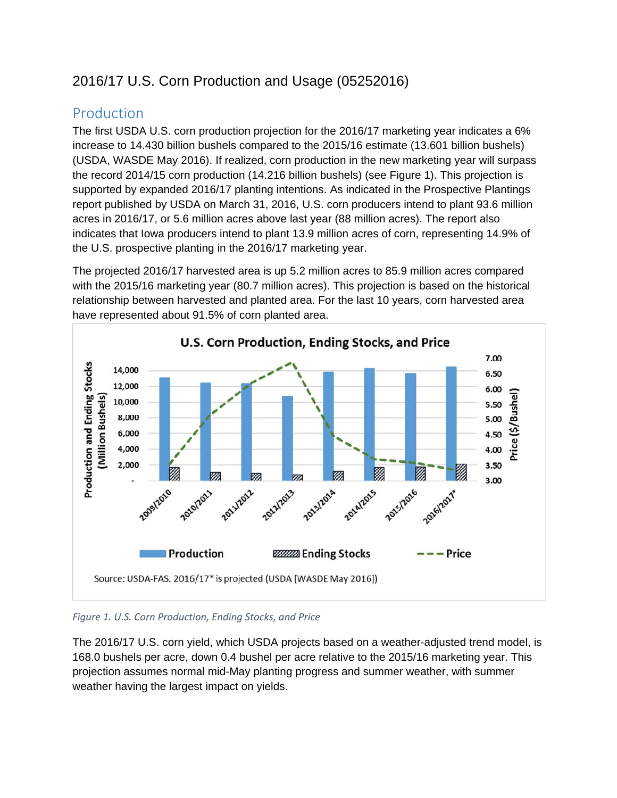# 2016/17 U.S. Corn Production and Usage (05252016)

## Production

The first USDA U.S. corn production projection for the 2016/17 marketing year indicates a 6% increase to 14.430 billion bushels compared to the 2015/16 estimate (13.601 billion bushels) (USDA, WASDE May 2016). If realized, corn production in the new marketing year will surpass the record 2014/15 corn production (14.216 billion bushels) (see Figure 1). This projection is supported by expanded 2016/17 planting intentions. As indicated in the Prospective Plantings report published by USDA on March 31, 2016, U.S. corn producers intend to plant 93.6 million acres in 2016/17, or 5.6 million acres above last year (88 million acres). The report also indicates that Iowa producers intend to plant 13.9 million acres of corn, representing 14.9% of the U.S. prospective planting in the 2016/17 marketing year.

The projected 2016/17 harvested area is up 5.2 million acres to 85.9 million acres compared with the 2015/16 marketing year (80.7 million acres). This projection is based on the historical relationship between harvested and planted area. For the last 10 years, corn harvested area have represented about 91.5% of corn planted area.



#### *Figure 1. U.S. Corn Production, Ending Stocks, and Price*

The 2016/17 U.S. corn yield, which USDA projects based on a weather-adjusted trend model, is 168.0 bushels per acre, down 0.4 bushel per acre relative to the 2015/16 marketing year. This projection assumes normal mid-May planting progress and summer weather, with summer weather having the largest impact on yields.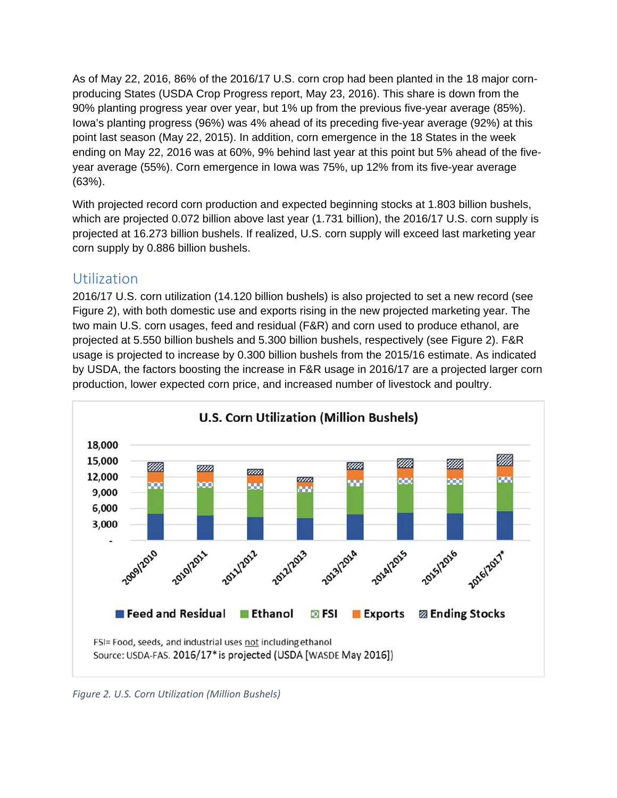As of May 22, 2016, 86% of the 2016/17 U.S. corn crop had been planted in the 18 major cornproducing States (USDA Crop Progress report, May 23, 2016). This share is down from the 90% planting progress year over year, but 1% up from the previous five-year average (85%). Iowa's planting progress (96%) was 4% ahead of its preceding five-year average (92%) at this point last season (May 22, 2015). In addition, corn emergence in the 18 States in the week ending on May 22, 2016 was at 60%, 9% behind last year at this point but 5% ahead of the fiveyear average (55%). Corn emergence in Iowa was 75%, up 12% from its five-year average (63%).

With projected record corn production and expected beginning stocks at 1.803 billion bushels, which are projected 0.072 billion above last year (1.731 billion), the 2016/17 U.S. corn supply is projected at 16.273 billion bushels. If realized, U.S. corn supply will exceed last marketing year corn supply by 0.886 billion bushels.

## Utilization

2016/17 U.S. corn utilization (14.120 billion bushels) is also projected to set a new record (see Figure 2), with both domestic use and exports rising in the new projected marketing year. The two main U.S. corn usages, feed and residual (F&R) and corn used to produce ethanol, are projected at 5.550 billion bushels and 5.300 billion bushels, respectively (see Figure 2). F&R usage is projected to increase by 0.300 billion bushels from the 2015/16 estimate. As indicated by USDA, the factors boosting the increase in F&R usage in 2016/17 are a projected larger corn production, lower expected corn price, and increased number of livestock and poultry.



*Figure 2. U.S. Corn Utilization (Million Bushels)*